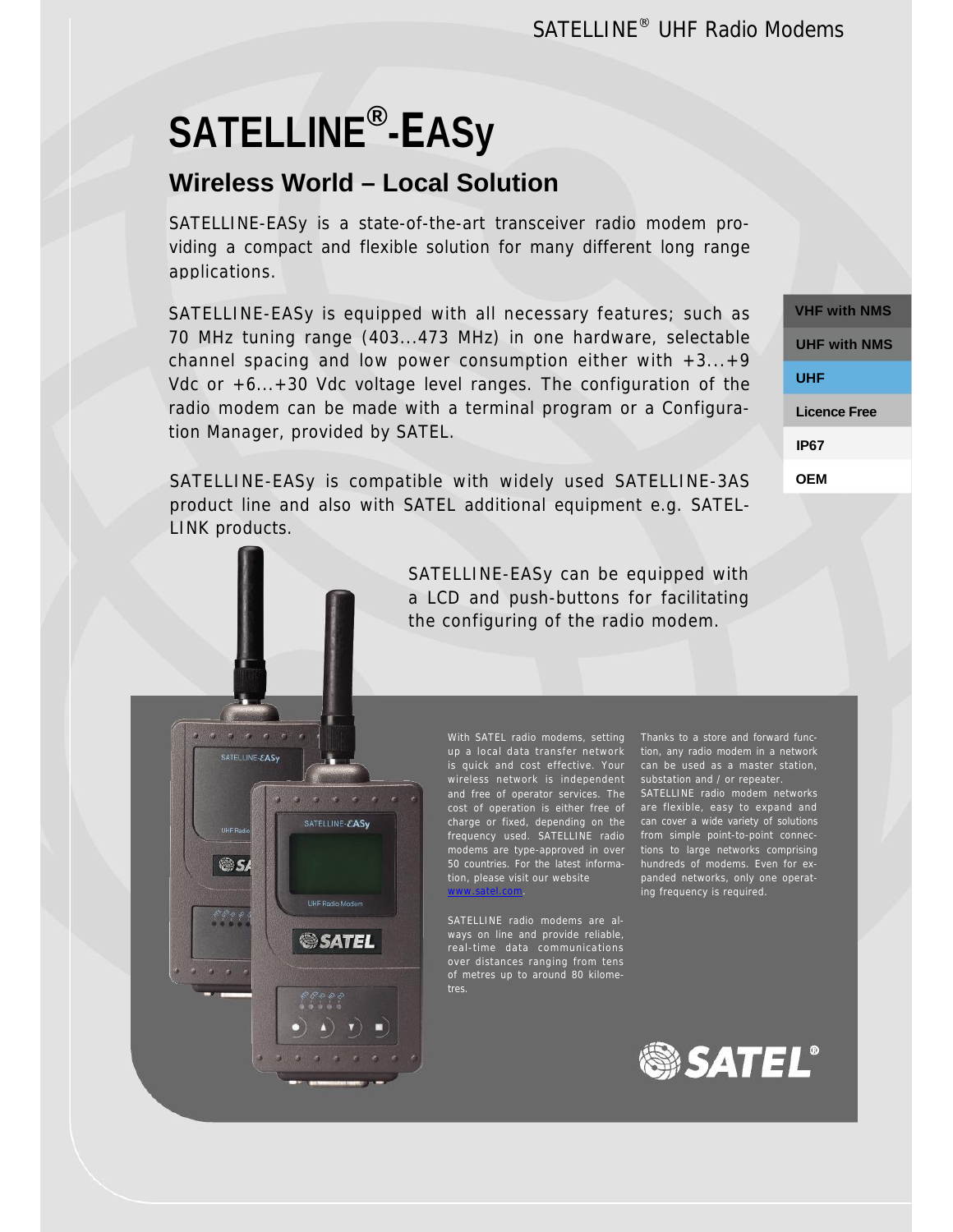# **SATELLINE®-EASy**

SATELLINE-EASy

os

SATELLINE-EASv

**JHF Radio Mode** 

**SATEL** 

# **Wireless World – Local Solution**

SATELLINE-EASy is a state-of-the-art transceiver radio modem providing a compact and flexible solution for many different long range applications.

SATELLINE-EASy is equipped with all necessary features; such as 70 MHz tuning range (403...473 MHz) in one hardware, selectable channel spacing and low power consumption either with  $+3...+9$ Vdc or +6...+30 Vdc voltage level ranges. The configuration of the radio modem can be made with a terminal program or a Configuration Manager, provided by SATEL.

SATELLINE-EASy is compatible with widely used SATELLINE-3AS product line and also with SATEL additional equipment e.g. SATEL-LINK products.

> SATELLINE-EASy can be equipped with a LCD and push-buttons for facilitating the configuring of the radio modem.

> > With SATEL radio modems, setting up a local data transfer network tion, any radio modem in a network is quick and cost effective. Your wireless network is independent and free of operator services. The cost of operation is either free of are flexible, easy to expand and charge or fixed, depending on the frequency used. SATELLINE radio modems are type-approved in over tions to large networks comprising 50 countries. For the latest informa-hundreds of modems. Even for extion, please visit our website www.satel.com.

SATELLINE radio modems are always on line and provide reliable, over distances ranging from tens of metres up to around 80 kilometres.

Thanks to a store and forward funccan be used as a master station, substation and / or repeater. SATELLINE radio modem networks can cover a wide variety of solutions

from simple point-to-point connecpanded networks, only one operating frequency is required.



**VHF with NMS OEM UHF with NMS UHF Licence Free IP67**